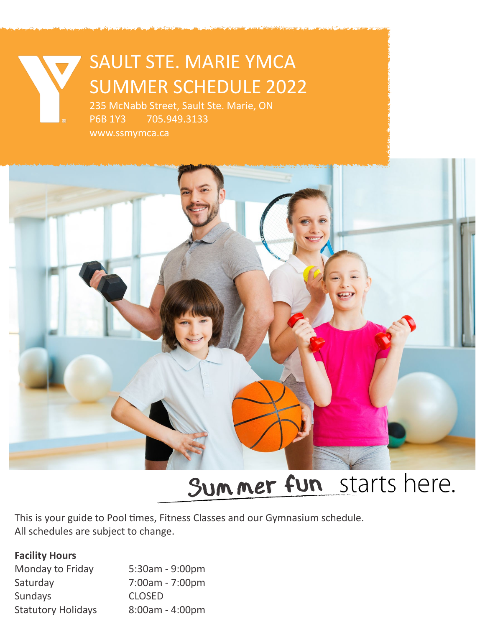# SAULT STE. MARIE YMCA SUMMER SCHEDULE 2022

235 McNabb Street, Sault Ste. Marie, ON P6B 1Y3 705.949.3133 www.ssmymca.ca



# Summer fun starts here.

This is your guide to Pool times, Fitness Classes and our Gymnasium schedule. All schedules are subject to change.

#### **Facility Hours**

| Monday to Friday          | 5:30am - 9:00pm   |
|---------------------------|-------------------|
| Saturday                  | 7:00am - 7:00pm   |
| Sundays                   | <b>CLOSED</b>     |
| <b>Statutory Holidays</b> | $8:00am - 4:00pm$ |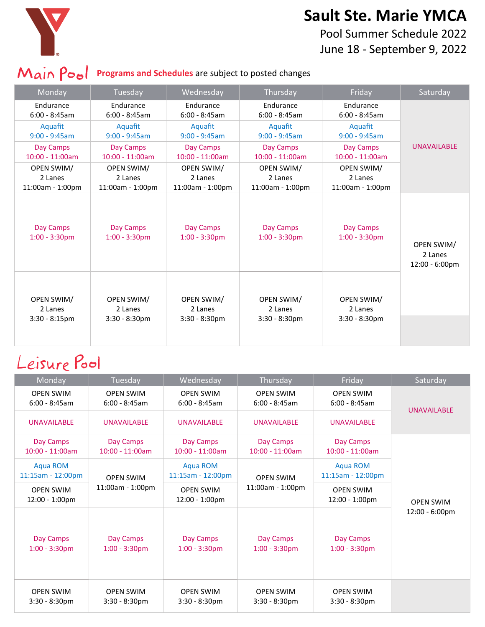

#### **Sault Ste. Marie YMCA**

Pool Summer Schedule 2022 June 18 - September 9, 2022

#### **Main Pool** Programs and Schedules are subject to posted changes

| Monday                        | Tuesday                       | Wednesday                     | Thursday                      | Friday                        | Saturday                                |
|-------------------------------|-------------------------------|-------------------------------|-------------------------------|-------------------------------|-----------------------------------------|
| Endurance                     | <b>Fndurance</b>              | Endurance                     | <b>Fndurance</b>              | Endurance                     |                                         |
| $6:00 - 8:45am$               | $6:00 - 8:45am$               | $6:00 - 8:45am$               | $6:00 - 8:45am$               | $6:00 - 8:45am$               |                                         |
| Aquafit                       | Aquafit                       | Aquafit                       | Aquafit                       | Aquafit                       |                                         |
| $9:00 - 9:45am$               | $9:00 - 9:45am$               | $9:00 - 9:45am$               | $9:00 - 9:45am$               | $9:00 - 9:45am$               |                                         |
| Day Camps                     | Day Camps                     | Day Camps                     | Day Camps                     | Day Camps                     | <b>UNAVAILABLE</b>                      |
| $10:00 - 11:00am$             | $10:00 - 11:00am$             | $10:00 - 11:00am$             | $10:00 - 11:00am$             | $10:00 - 11:00am$             |                                         |
| OPEN SWIM/                    | OPEN SWIM/                    | <b>OPEN SWIM/</b>             | OPEN SWIM/                    | <b>OPEN SWIM/</b>             |                                         |
| 2 Lanes                       | 2 Lanes                       | 2 Lanes                       | 2 Lanes                       | 2 Lanes                       |                                         |
| 11:00am - 1:00pm              | 11:00am - 1:00pm              | 11:00am - 1:00pm              | $11:00am - 1:00pm$            | $11:00am - 1:00pm$            |                                         |
| Day Camps<br>$1:00 - 3:30$ pm | Day Camps<br>$1:00 - 3:30$ pm | Day Camps<br>$1:00 - 3:30$ pm | Day Camps<br>$1:00 - 3:30$ pm | Day Camps<br>$1:00 - 3:30$ pm | OPEN SWIM/<br>2 Lanes<br>12:00 - 6:00pm |
| <b>OPEN SWIM/</b>             | <b>OPEN SWIM/</b>             | OPEN SWIM/                    | <b>OPEN SWIM/</b>             | <b>OPEN SWIM/</b>             |                                         |
| 2 Lanes                       | 2 Lanes                       | 2 Lanes                       | 2 Lanes                       | 2 Lanes                       |                                         |
| $3:30 - 8:15 \text{pm}$       | $3:30 - 8:30$ pm              | $3:30 - 8:30$ pm              | $3:30 - 8:30$ pm              | $3:30 - 8:30$ pm              |                                         |

## Leisure Pool

| Monday                                 | Tuesday                              | Wednesday                            | Thursday                             | Friday                               | Saturday                           |
|----------------------------------------|--------------------------------------|--------------------------------------|--------------------------------------|--------------------------------------|------------------------------------|
| <b>OPEN SWIM</b><br>$6:00 - 8:45am$    | <b>OPEN SWIM</b><br>$6:00 - 8:45am$  | <b>OPEN SWIM</b><br>$6:00 - 8:45am$  | <b>OPEN SWIM</b><br>$6:00 - 8:45am$  | <b>OPEN SWIM</b><br>$6:00 - 8:45am$  | <b>UNAVAILABLE</b>                 |
| <b>UNAVAILABLE</b>                     | <b>UNAVAILABLE</b>                   | <b>UNAVAILABLE</b>                   | <b>UNAVAILABLE</b>                   | <b>UNAVAILABLE</b>                   |                                    |
| Day Camps<br>$10:00 - 11:00am$         | Day Camps<br>$10:00 - 11:00am$       | Day Camps<br>$10:00 - 11:00am$       | Day Camps<br>$10:00 - 11:00am$       | Day Camps<br>$10:00 - 11:00am$       |                                    |
| <b>Aqua ROM</b><br>$11:15am - 12:00pm$ | <b>OPEN SWIM</b><br>11:00am - 1:00pm | Aqua ROM<br>11:15am - 12:00pm        | <b>OPEN SWIM</b><br>11:00am - 1:00pm | <b>Aqua ROM</b><br>11:15am - 12:00pm | <b>OPEN SWIM</b><br>12:00 - 6:00pm |
| <b>OPEN SWIM</b><br>12:00 - 1:00pm     |                                      | <b>OPEN SWIM</b><br>12:00 - 1:00pm   |                                      | <b>OPEN SWIM</b><br>12:00 - 1:00pm   |                                    |
| Day Camps<br>$1:00 - 3:30$ pm          | Day Camps<br>$1:00 - 3:30$ pm        | Day Camps<br>$1:00 - 3:30$ pm        | Day Camps<br>$1:00 - 3:30$ pm        | Day Camps<br>$1:00 - 3:30$ pm        |                                    |
| <b>OPEN SWIM</b><br>$3:30 - 8:30pm$    | <b>OPEN SWIM</b><br>$3:30 - 8:30$ pm | <b>OPEN SWIM</b><br>$3:30 - 8:30$ pm | <b>OPEN SWIM</b><br>$3:30 - 8:30$ pm | <b>OPEN SWIM</b><br>$3:30 - 8:30$ pm |                                    |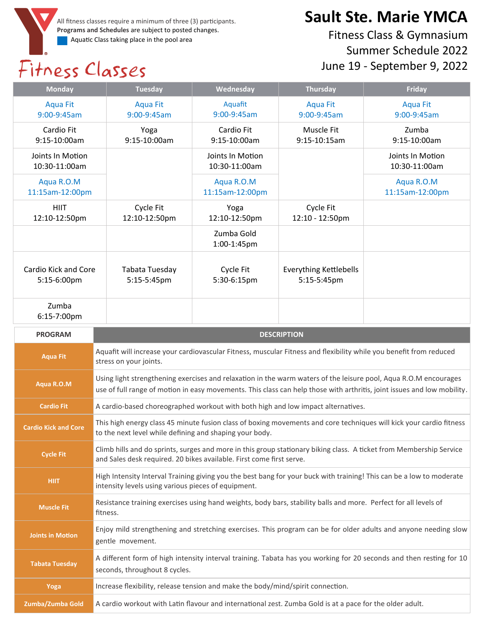All fitness classes require a minimum of three (3) participants. **Programs and Schedules** are subject to posted changes. Aquatic Class taking place in the pool area

# Fitness Classes

### **Sault Ste. Marie YMCA**

Fitness Class & Gymnasium Summer Schedule 2022 June 19 - September 9, 2022

| <b>Monday</b>                       | Wednesday<br><b>Tuesday</b>                                                                                                                  |                                   | <b>Thursday</b><br><b>Friday</b>             |                                                                                                                                                                                                                                             |  |
|-------------------------------------|----------------------------------------------------------------------------------------------------------------------------------------------|-----------------------------------|----------------------------------------------|---------------------------------------------------------------------------------------------------------------------------------------------------------------------------------------------------------------------------------------------|--|
| <b>Aqua Fit</b><br>9:00-9:45am      | <b>Aqua Fit</b><br>9:00-9:45am                                                                                                               | Aquafit<br>9:00-9:45am            | <b>Aqua Fit</b><br>9:00-9:45am               | <b>Aqua Fit</b><br>9:00-9:45am                                                                                                                                                                                                              |  |
| Cardio Fit<br>9:15-10:00am          | Yoga<br>9:15-10:00am                                                                                                                         | Cardio Fit<br>9:15-10:00am        | Muscle Fit<br>9:15-10:15am                   | Zumba<br>9:15-10:00am                                                                                                                                                                                                                       |  |
| Joints In Motion<br>10:30-11:00am   |                                                                                                                                              | Joints In Motion<br>10:30-11:00am |                                              | Joints In Motion<br>10:30-11:00am                                                                                                                                                                                                           |  |
| Aqua R.O.M<br>11:15am-12:00pm       |                                                                                                                                              | Aqua R.O.M<br>11:15am-12:00pm     |                                              | Aqua R.O.M<br>11:15am-12:00pm                                                                                                                                                                                                               |  |
| <b>HIIT</b><br>12:10-12:50pm        | Cycle Fit<br>12:10-12:50pm                                                                                                                   | Yoga<br>12:10-12:50pm             | Cycle Fit<br>12:10 - 12:50pm                 |                                                                                                                                                                                                                                             |  |
|                                     |                                                                                                                                              | Zumba Gold<br>1:00-1:45pm         |                                              |                                                                                                                                                                                                                                             |  |
| Cardio Kick and Core<br>5:15-6:00pm | Tabata Tuesday<br>5:15-5:45pm                                                                                                                | Cycle Fit<br>5:30-6:15pm          | <b>Everything Kettlebells</b><br>5:15-5:45pm |                                                                                                                                                                                                                                             |  |
| Zumba<br>6:15-7:00pm                |                                                                                                                                              |                                   |                                              |                                                                                                                                                                                                                                             |  |
|                                     | <b>DESCRIPTION</b>                                                                                                                           |                                   |                                              |                                                                                                                                                                                                                                             |  |
| <b>PROGRAM</b>                      |                                                                                                                                              |                                   |                                              |                                                                                                                                                                                                                                             |  |
| <b>Aqua Fit</b>                     | Aquafit will increase your cardiovascular Fitness, muscular Fitness and flexibility while you benefit from reduced<br>stress on your joints. |                                   |                                              |                                                                                                                                                                                                                                             |  |
| Aqua R.O.M                          |                                                                                                                                              |                                   |                                              | Using light strengthening exercises and relaxation in the warm waters of the leisure pool, Aqua R.O.M encourages<br>use of full range of motion in easy movements. This class can help those with arthritis, joint issues and low mobility. |  |
| <b>Cardio Fit</b>                   | A cardio-based choreographed workout with both high and low impact alternatives.                                                             |                                   |                                              |                                                                                                                                                                                                                                             |  |
| <b>Cardio Kick and Core</b>         | to the next level while defining and shaping your body.                                                                                      |                                   |                                              | This high energy class 45 minute fusion class of boxing movements and core techniques will kick your cardio fitness                                                                                                                         |  |
| <b>Cycle Fit</b>                    | and Sales desk required. 20 bikes available. First come first serve.                                                                         |                                   |                                              | Climb hills and do sprints, surges and more in this group stationary biking class. A ticket from Membership Service                                                                                                                         |  |
| <b>HIIT</b>                         | intensity levels using various pieces of equipment.                                                                                          |                                   |                                              | High Intensity Interval Training giving you the best bang for your buck with training! This can be a low to moderate                                                                                                                        |  |
| <b>Muscle Fit</b>                   | Resistance training exercises using hand weights, body bars, stability balls and more. Perfect for all levels of<br>fitness.                 |                                   |                                              |                                                                                                                                                                                                                                             |  |
| <b>Joints in Motion</b>             | gentle movement.                                                                                                                             |                                   |                                              | Enjoy mild strengthening and stretching exercises. This program can be for older adults and anyone needing slow                                                                                                                             |  |
| <b>Tabata Tuesday</b>               | seconds, throughout 8 cycles.                                                                                                                |                                   |                                              | A different form of high intensity interval training. Tabata has you working for 20 seconds and then resting for 10                                                                                                                         |  |
| Yoga                                | Increase flexibility, release tension and make the body/mind/spirit connection.                                                              |                                   |                                              |                                                                                                                                                                                                                                             |  |